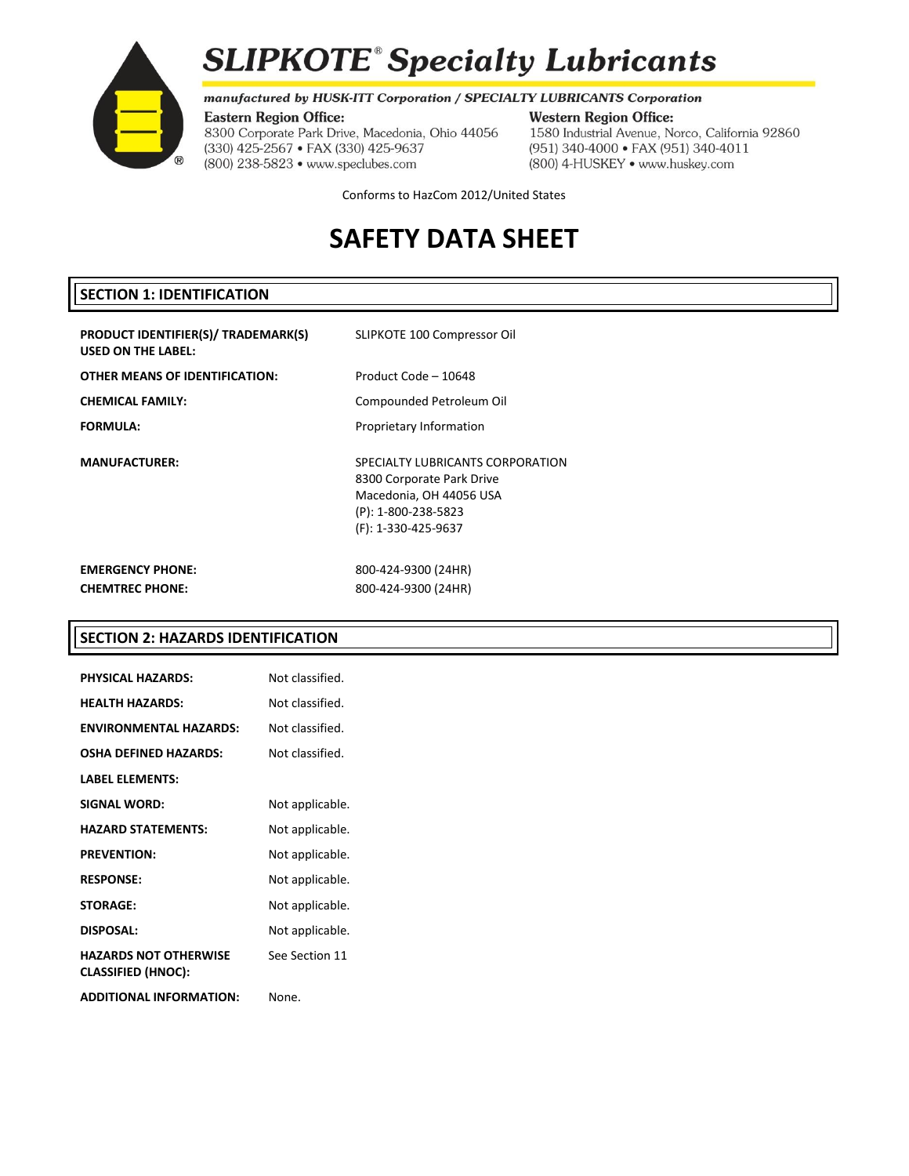

 $(R)$ 

# **SLIPKOTE<sup>®</sup> Specialty Lubricants**

# manufactured by HUSK-ITT Corporation / SPECIALTY LUBRICANTS Corporation

#### **Western Region Office:**

8300 Corporate Park Drive, Macedonia, Ohio 44056 (330) 425-2567 · FAX (330) 425-9637 (800) 238-5823 · www.speclubes.com

1580 Industrial Avenue, Norco, California 92860 (951) 340-4000 · FAX (951) 340-4011 (800) 4-HUSKEY . www.huskey.com

Conforms to HazCom 2012/United States

# **SAFETY DATA SHEET**

# **SECTION 1: IDENTIFICATION**

| PRODUCT IDENTIFIER(S)/ TRADEMARK(S)<br><b>USED ON THE LABEL:</b> | SLIPKOTE 100 Compressor Oil                                                                                                            |
|------------------------------------------------------------------|----------------------------------------------------------------------------------------------------------------------------------------|
| OTHER MEANS OF IDENTIFICATION:                                   | Product Code - 10648                                                                                                                   |
| CHEMICAL FAMILY:                                                 | Compounded Petroleum Oil                                                                                                               |
| <b>FORMULA:</b>                                                  | Proprietary Information                                                                                                                |
| <b>MANUFACTURER:</b>                                             | SPECIALTY LUBRICANTS CORPORATION<br>8300 Corporate Park Drive<br>Macedonia, OH 44056 USA<br>(P): 1-800-238-5823<br>(F): 1-330-425-9637 |
| <b>EMERGENCY PHONE:</b><br><b>CHEMTREC PHONE:</b>                | 800-424-9300 (24HR)<br>800-424-9300 (24HR)                                                                                             |

# **SECTION 2: HAZARDS IDENTIFICATION**

| <b>PHYSICAL HAZARDS:</b>                                  | Not classified. |
|-----------------------------------------------------------|-----------------|
| <b>HEALTH HAZARDS:</b>                                    | Not classified. |
| <b>ENVIRONMENTAL HAZARDS:</b>                             | Not classified. |
| <b>OSHA DEFINED HAZARDS:</b>                              | Not classified. |
| <b>LABEL ELEMENTS:</b>                                    |                 |
| <b>SIGNAL WORD:</b>                                       | Not applicable. |
| <b>HAZARD STATEMENTS:</b>                                 | Not applicable. |
| <b>PREVENTION:</b>                                        | Not applicable. |
| <b>RESPONSE:</b>                                          | Not applicable. |
| <b>STORAGE:</b>                                           | Not applicable. |
| <b>DISPOSAL:</b>                                          | Not applicable. |
| <b>HAZARDS NOT OTHERWISE</b><br><b>CLASSIFIED (HNOC):</b> | See Section 11  |
| <b>ADDITIONAL INFORMATION:</b>                            | None.           |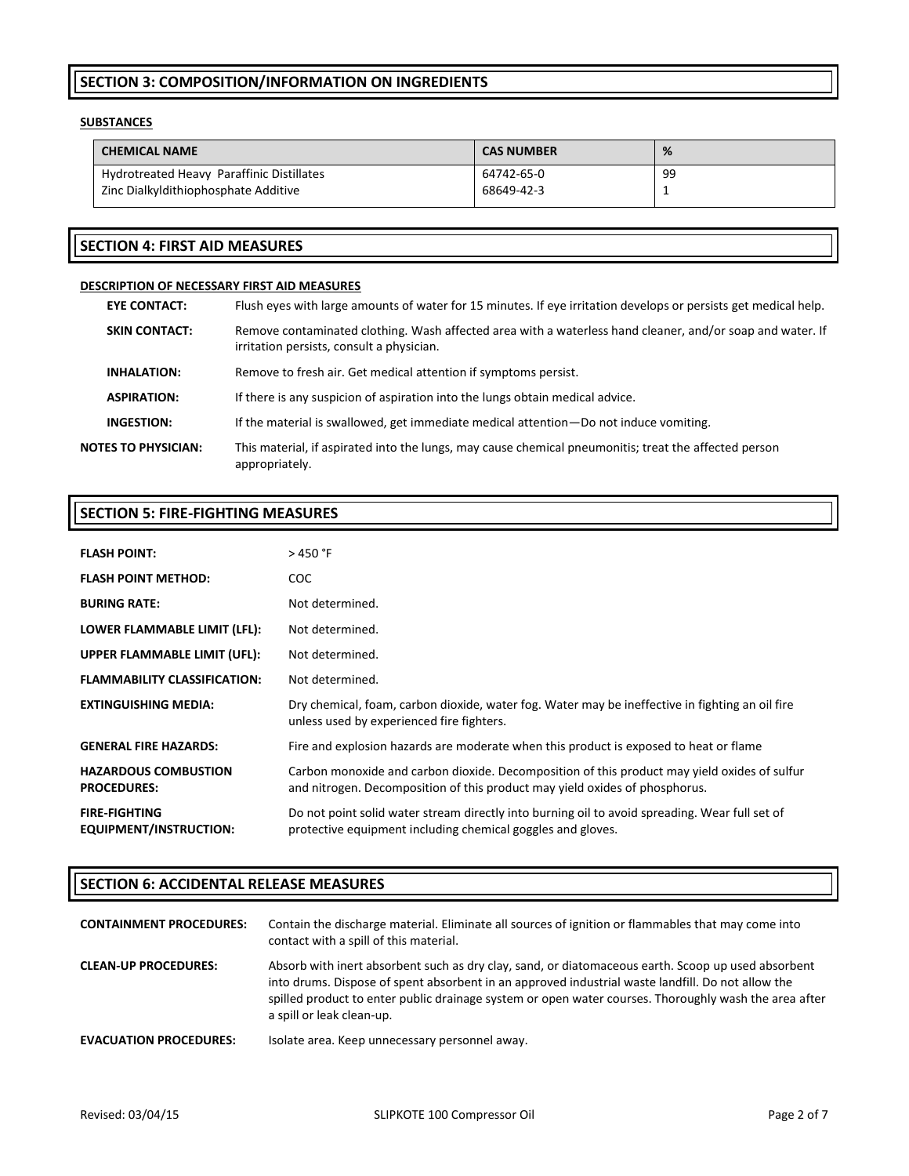# **SECTION 3: COMPOSITION/INFORMATION ON INGREDIENTS**

## **SUBSTANCES**

| <b>CAS NUMBER</b> | %   |
|-------------------|-----|
| 64742-65-0        | -99 |
| 68649-42-3        |     |
|                   |     |

# **SECTION 4: FIRST AID MEASURES**

# **DESCRIPTION OF NECESSARY FIRST AID MEASURES**

| <b>EYE CONTACT:</b>        | Flush eyes with large amounts of water for 15 minutes. If eye irritation develops or persists get medical help.                                        |
|----------------------------|--------------------------------------------------------------------------------------------------------------------------------------------------------|
| <b>SKIN CONTACT:</b>       | Remove contaminated clothing. Wash affected area with a waterless hand cleaner, and/or soap and water. If<br>irritation persists, consult a physician. |
| <b>INHALATION:</b>         | Remove to fresh air. Get medical attention if symptoms persist.                                                                                        |
| <b>ASPIRATION:</b>         | If there is any suspicion of aspiration into the lungs obtain medical advice.                                                                          |
| INGESTION:                 | If the material is swallowed, get immediate medical attention—Do not induce vomiting.                                                                  |
| <b>NOTES TO PHYSICIAN:</b> | This material, if aspirated into the lungs, may cause chemical pneumonitis; treat the affected person<br>appropriately.                                |

# **SECTION 5: FIRE-FIGHTING MEASURES**

| <b>FLASH POINT:</b>                               | > 450 °F                                                                                                                                                                    |
|---------------------------------------------------|-----------------------------------------------------------------------------------------------------------------------------------------------------------------------------|
| <b>FLASH POINT METHOD:</b>                        | COC.                                                                                                                                                                        |
| <b>BURING RATE:</b>                               | Not determined.                                                                                                                                                             |
| LOWER FLAMMABLE LIMIT (LFL):                      | Not determined.                                                                                                                                                             |
| UPPER FLAMMABLE LIMIT (UFL):                      | Not determined.                                                                                                                                                             |
| <b>FLAMMABILITY CLASSIFICATION:</b>               | Not determined.                                                                                                                                                             |
| <b>EXTINGUISHING MEDIA:</b>                       | Dry chemical, foam, carbon dioxide, water fog. Water may be ineffective in fighting an oil fire<br>unless used by experienced fire fighters.                                |
| <b>GENERAL FIRE HAZARDS:</b>                      | Fire and explosion hazards are moderate when this product is exposed to heat or flame                                                                                       |
| <b>HAZARDOUS COMBUSTION</b><br><b>PROCEDURES:</b> | Carbon monoxide and carbon dioxide. Decomposition of this product may yield oxides of sulfur<br>and nitrogen. Decomposition of this product may yield oxides of phosphorus. |
| <b>FIRE-FIGHTING</b><br>EQUIPMENT/INSTRUCTION:    | Do not point solid water stream directly into burning oil to avoid spreading. Wear full set of<br>protective equipment including chemical goggles and gloves.               |

# **SECTION 6: ACCIDENTAL RELEASE MEASURES**

| <b>CONTAINMENT PROCEDURES:</b> | Contain the discharge material. Eliminate all sources of ignition or flammables that may come into<br>contact with a spill of this material.                                                                                                                                                                                                  |
|--------------------------------|-----------------------------------------------------------------------------------------------------------------------------------------------------------------------------------------------------------------------------------------------------------------------------------------------------------------------------------------------|
| <b>CLEAN-UP PROCEDURES:</b>    | Absorb with inert absorbent such as dry clay, sand, or diatomaceous earth. Scoop up used absorbent<br>into drums. Dispose of spent absorbent in an approved industrial waste landfill. Do not allow the<br>spilled product to enter public drainage system or open water courses. Thoroughly wash the area after<br>a spill or leak clean-up. |
| <b>EVACUATION PROCEDURES:</b>  | Isolate area. Keep unnecessary personnel away.                                                                                                                                                                                                                                                                                                |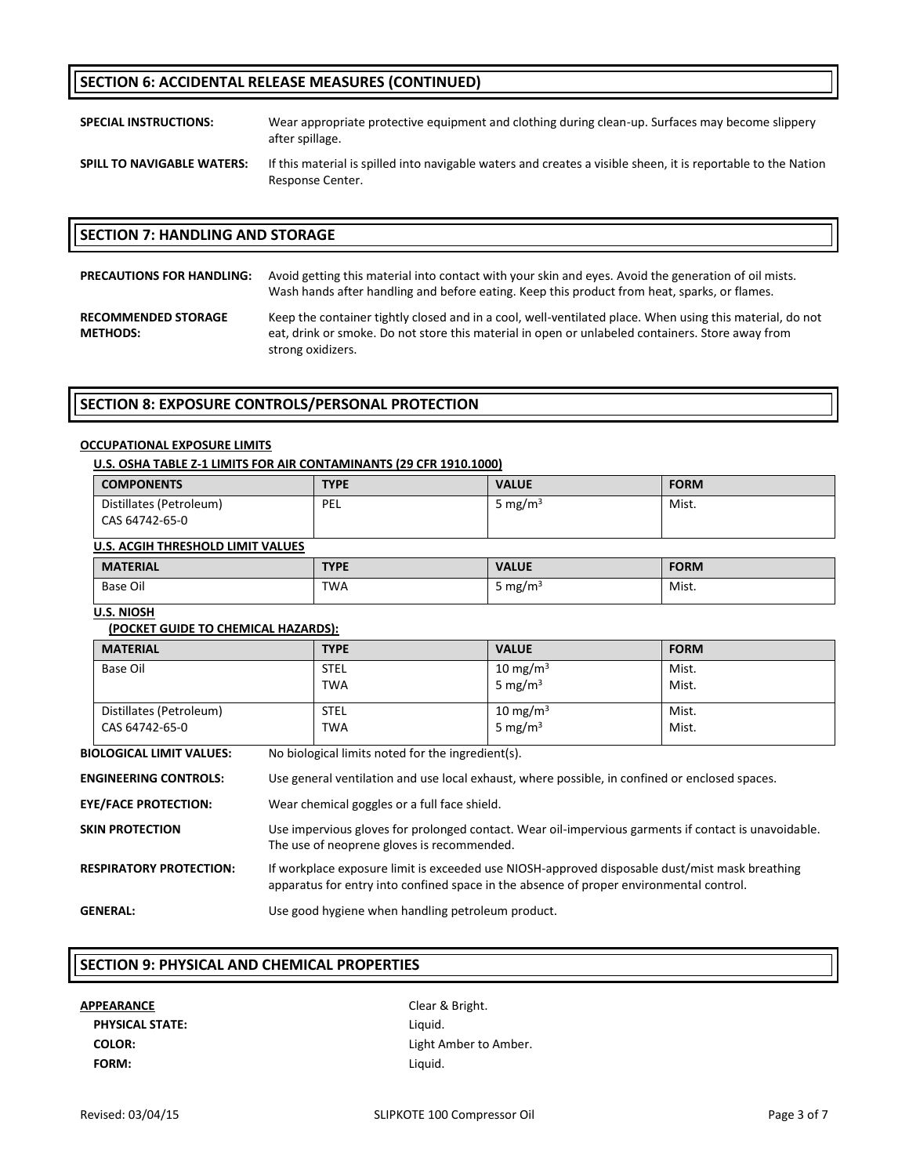# **SECTION 6: ACCIDENTAL RELEASE MEASURES (CONTINUED)**

**SPECIAL INSTRUCTIONS:** Wear appropriate protective equipment and clothing during clean-up. Surfaces may become slippery after spillage.

**SPILL TO NAVIGABLE WATERS:** If this material is spilled into navigable waters and creates a visible sheen, it is reportable to the Nation Response Center.

#### **SECTION 7: HANDLING AND STORAGE**

| <b>PRECAUTIONS FOR HANDLING:</b>              | Avoid getting this material into contact with your skin and eyes. Avoid the generation of oil mists.<br>Wash hands after handling and before eating. Keep this product from heat, sparks, or flames.                              |
|-----------------------------------------------|-----------------------------------------------------------------------------------------------------------------------------------------------------------------------------------------------------------------------------------|
| <b>RECOMMENDED STORAGE</b><br><b>METHODS:</b> | Keep the container tightly closed and in a cool, well-ventilated place. When using this material, do not<br>eat, drink or smoke. Do not store this material in open or unlabeled containers. Store away from<br>strong oxidizers. |

## **SECTION 8: EXPOSURE CONTROLS/PERSONAL PROTECTION**

#### **OCCUPATIONAL EXPOSURE LIMITS**

|                                          |                                                                                                                                                                                           | U.S. OSHA TABLE Z-1 LIMITS FOR AIR CONTAMINANTS (29 CFR 1910.1000) |                     |             |
|------------------------------------------|-------------------------------------------------------------------------------------------------------------------------------------------------------------------------------------------|--------------------------------------------------------------------|---------------------|-------------|
| <b>COMPONENTS</b>                        |                                                                                                                                                                                           | <b>TYPE</b>                                                        | <b>VALUE</b>        | <b>FORM</b> |
| Distillates (Petroleum)                  |                                                                                                                                                                                           | PEL                                                                | 5 mg/m $3$          | Mist.       |
| CAS 64742-65-0                           |                                                                                                                                                                                           |                                                                    |                     |             |
| <b>U.S. ACGIH THRESHOLD LIMIT VALUES</b> |                                                                                                                                                                                           |                                                                    |                     |             |
| <b>MATERIAL</b>                          |                                                                                                                                                                                           | <b>TYPE</b>                                                        | <b>VALUE</b>        | <b>FORM</b> |
| <b>Base Oil</b>                          |                                                                                                                                                                                           | <b>TWA</b>                                                         | 5 mg/m $3$          | Mist.       |
| <b>U.S. NIOSH</b>                        |                                                                                                                                                                                           |                                                                    |                     |             |
| (POCKET GUIDE TO CHEMICAL HAZARDS):      |                                                                                                                                                                                           |                                                                    |                     |             |
| <b>MATERIAL</b>                          |                                                                                                                                                                                           | <b>TYPE</b>                                                        | <b>VALUE</b>        | <b>FORM</b> |
| <b>Base Oil</b>                          |                                                                                                                                                                                           | <b>STEL</b>                                                        | 10 mg/m $3$         | Mist.       |
|                                          |                                                                                                                                                                                           | <b>TWA</b>                                                         | 5 mg/m <sup>3</sup> | Mist.       |
| Distillates (Petroleum)                  |                                                                                                                                                                                           | <b>STEL</b>                                                        | 10 mg/m $3$         | Mist.       |
| CAS 64742-65-0                           |                                                                                                                                                                                           | <b>TWA</b>                                                         | 5 mg/m $3$          | Mist.       |
| <b>BIOLOGICAL LIMIT VALUES:</b>          |                                                                                                                                                                                           | No biological limits noted for the ingredient(s).                  |                     |             |
| <b>ENGINEERING CONTROLS:</b>             | Use general ventilation and use local exhaust, where possible, in confined or enclosed spaces.                                                                                            |                                                                    |                     |             |
| <b>EYE/FACE PROTECTION:</b>              | Wear chemical goggles or a full face shield.                                                                                                                                              |                                                                    |                     |             |
| SKIN PROTECTION                          | Use impervious gloves for prolonged contact. Wear oil-impervious garments if contact is unavoidable.<br>The use of neoprene gloves is recommended.                                        |                                                                    |                     |             |
| <b>RESPIRATORY PROTECTION:</b>           | If workplace exposure limit is exceeded use NIOSH-approved disposable dust/mist mask breathing<br>apparatus for entry into confined space in the absence of proper environmental control. |                                                                    |                     |             |
| <b>GENERAL:</b>                          |                                                                                                                                                                                           | Use good hygiene when handling petroleum product.                  |                     |             |

#### **SECTION 9: PHYSICAL AND CHEMICAL PROPERTIES**

# **APPEARANCE** Clear & Bright. PHYSICAL STATE: Liquid. **FORM:** Liquid.

**COLOR:** Light Amber to Amber.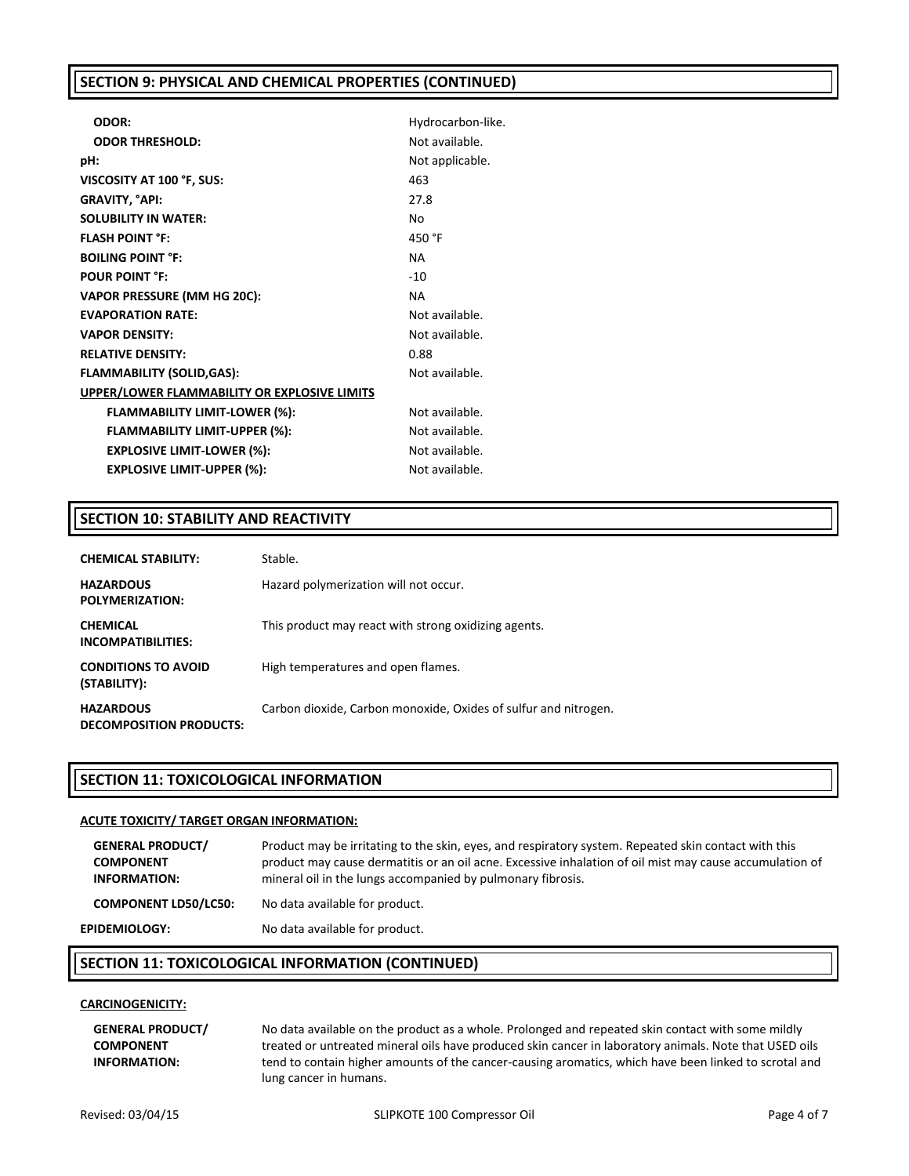# **SECTION 9: PHYSICAL AND CHEMICAL PROPERTIES (CONTINUED)**

| ODOR:                                        | Hydrocarbon-like. |
|----------------------------------------------|-------------------|
| <b>ODOR THRESHOLD:</b>                       | Not available.    |
| pH:                                          | Not applicable.   |
| VISCOSITY AT 100 °F, SUS:                    | 463               |
| GRAVITY, °API:                               | 27.8              |
| <b>SOLUBILITY IN WATER:</b>                  | No                |
| <b>FLASH POINT °F:</b>                       | 450 °F            |
| <b>BOILING POINT °F:</b>                     | <b>NA</b>         |
| <b>POUR POINT °F:</b>                        | $-10$             |
| <b>VAPOR PRESSURE (MM HG 20C):</b>           | <b>NA</b>         |
| <b>EVAPORATION RATE:</b>                     | Not available.    |
| <b>VAPOR DENSITY:</b>                        | Not available.    |
| <b>RELATIVE DENSITY:</b>                     | 0.88              |
| <b>FLAMMABILITY (SOLID,GAS):</b>             | Not available.    |
| UPPER/LOWER FLAMMABILITY OR EXPLOSIVE LIMITS |                   |
| <b>FLAMMABILITY LIMIT-LOWER (%):</b>         | Not available.    |
| <b>FLAMMABILITY LIMIT-UPPER (%):</b>         | Not available.    |
| <b>EXPLOSIVE LIMIT-LOWER (%):</b>            | Not available.    |
| <b>EXPLOSIVE LIMIT-UPPER (%):</b>            | Not available.    |

# **SECTION 10: STABILITY AND REACTIVITY**

| <b>CHEMICAL STABILITY:</b>                         | Stable.                                                         |
|----------------------------------------------------|-----------------------------------------------------------------|
| <b>HAZARDOUS</b><br>POLYMERIZATION:                | Hazard polymerization will not occur.                           |
| <b>CHEMICAL</b><br>INCOMPATIBILITIES:              | This product may react with strong oxidizing agents.            |
| <b>CONDITIONS TO AVOID</b><br>(STABILITY):         | High temperatures and open flames.                              |
| <b>HAZARDOUS</b><br><b>DECOMPOSITION PRODUCTS:</b> | Carbon dioxide, Carbon monoxide, Oxides of sulfur and nitrogen. |

# **SECTION 11: TOXICOLOGICAL INFORMATION**

#### **ACUTE TOXICITY/ TARGET ORGAN INFORMATION:**

| <b>GENERAL PRODUCT/</b><br><b>COMPONENT</b><br><b>INFORMATION:</b> | Product may be irritating to the skin, eyes, and respiratory system. Repeated skin contact with this<br>product may cause dermatitis or an oil acne. Excessive inhalation of oil mist may cause accumulation of<br>mineral oil in the lungs accompanied by pulmonary fibrosis. |
|--------------------------------------------------------------------|--------------------------------------------------------------------------------------------------------------------------------------------------------------------------------------------------------------------------------------------------------------------------------|
| <b>COMPONENT LD50/LC50:</b>                                        | No data available for product.                                                                                                                                                                                                                                                 |
| <b>EPIDEMIOLOGY:</b>                                               | No data available for product.                                                                                                                                                                                                                                                 |

# **SECTION 11: TOXICOLOGICAL INFORMATION (CONTINUED)**

## **CARCINOGENICITY:**

**GENERAL PRODUCT/ COMPONENT INFORMATION:**

No data available on the product as a whole. Prolonged and repeated skin contact with some mildly treated or untreated mineral oils have produced skin cancer in laboratory animals. Note that USED oils tend to contain higher amounts of the cancer-causing aromatics, which have been linked to scrotal and lung cancer in humans.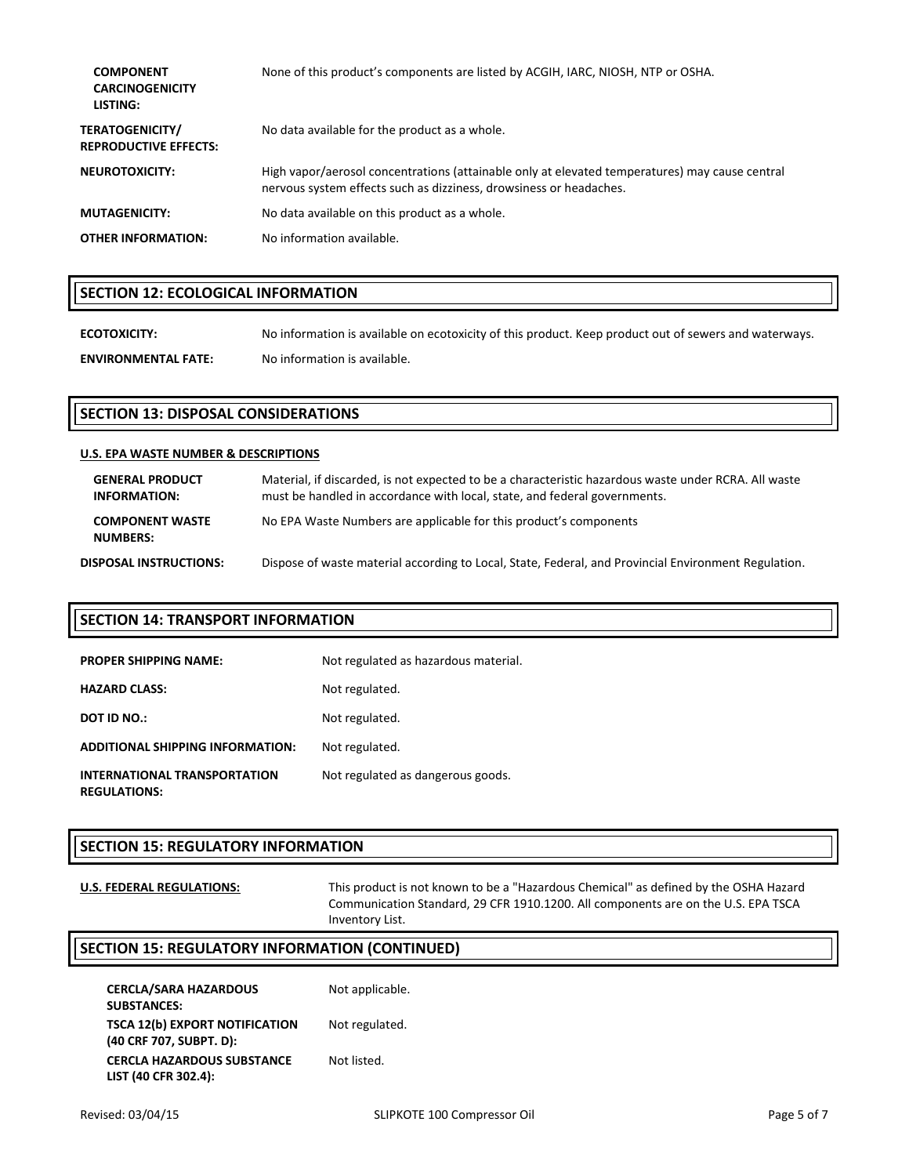| <b>COMPONENT</b><br><b>CARCINOGENICITY</b><br>LISTING: | None of this product's components are listed by ACGIH, IARC, NIOSH, NTP or OSHA.                                                                                     |
|--------------------------------------------------------|----------------------------------------------------------------------------------------------------------------------------------------------------------------------|
| <b>TERATOGENICITY/</b><br><b>REPRODUCTIVE EFFECTS:</b> | No data available for the product as a whole.                                                                                                                        |
| <b>NEUROTOXICITY:</b>                                  | High vapor/aerosol concentrations (attainable only at elevated temperatures) may cause central<br>nervous system effects such as dizziness, drowsiness or headaches. |
| <b>MUTAGENICITY:</b>                                   | No data available on this product as a whole.                                                                                                                        |
| <b>OTHER INFORMATION:</b>                              | No information available.                                                                                                                                            |

# **SECTION 12: ECOLOGICAL INFORMATION**

**ECOTOXICITY:** No information is available on ecotoxicity of this product. Keep product out of sewers and waterways. **ENVIRONMENTAL FATE:** No information is available.

# **SECTION 13: DISPOSAL CONSIDERATIONS**

#### **U.S. EPA WASTE NUMBER & DESCRIPTIONS**

| <b>GENERAL PRODUCT</b><br><b>INFORMATION:</b> | Material, if discarded, is not expected to be a characteristic hazardous waste under RCRA. All waste<br>must be handled in accordance with local, state, and federal governments. |
|-----------------------------------------------|-----------------------------------------------------------------------------------------------------------------------------------------------------------------------------------|
| <b>COMPONENT WASTE</b><br><b>NUMBERS:</b>     | No EPA Waste Numbers are applicable for this product's components                                                                                                                 |
| DISPOSAL INSTRUCTIONS:                        | Dispose of waste material according to Local, State, Federal, and Provincial Environment Regulation.                                                                              |

# **SECTION 14: TRANSPORT INFORMATION**

| <b>PROPER SHIPPING NAME:</b>                        | Not regulated as hazardous material. |
|-----------------------------------------------------|--------------------------------------|
| <b>HAZARD CLASS:</b>                                | Not regulated.                       |
| <b>DOT ID NO.:</b>                                  | Not regulated.                       |
| <b>ADDITIONAL SHIPPING INFORMATION:</b>             | Not regulated.                       |
| INTERNATIONAL TRANSPORTATION<br><b>REGULATIONS:</b> | Not regulated as dangerous goods.    |

# **SECTION 15: REGULATORY INFORMATION**

**U.S. FEDERAL REGULATIONS:** This product is not known to be a "Hazardous Chemical" as defined by the OSHA Hazard Communication Standard, 29 CFR 1910.1200. All components are on the U.S. EPA TSCA Inventory List.

# **SECTION 15: REGULATORY INFORMATION (CONTINUED)**

| <b>CERCLA/SARA HAZARDOUS</b>          | Not applicable. |
|---------------------------------------|-----------------|
| <b>SUBSTANCES:</b>                    |                 |
| <b>TSCA 12(b) EXPORT NOTIFICATION</b> | Not regulated.  |
| (40 CRF 707, SUBPT. D):               |                 |
| <b>CERCLA HAZARDOUS SUBSTANCE</b>     | Not listed.     |
| LIST (40 CFR 302.4):                  |                 |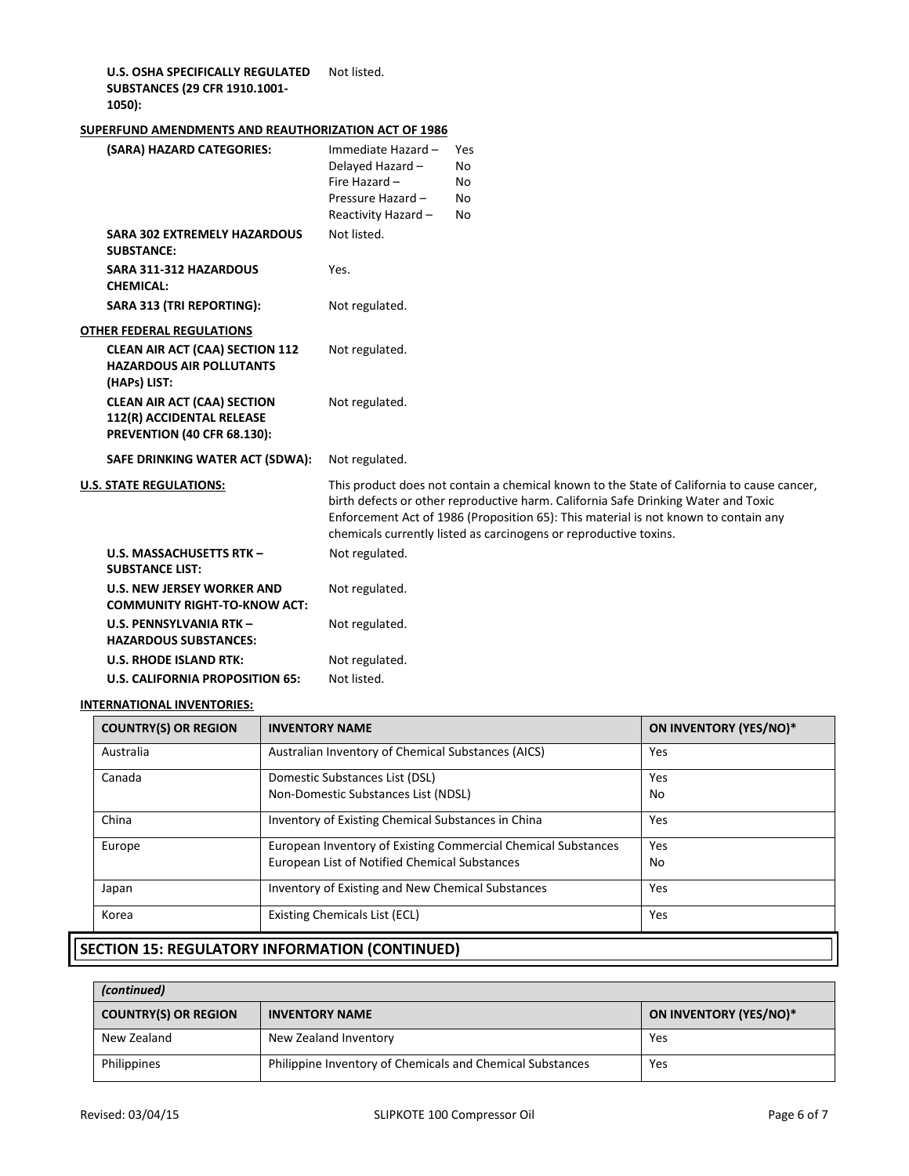**U.S. OSHA SPECIFICALLY REGULATED**  Not listed. **SUBSTANCES (29 CFR 1910.1001- 1050):**

## **SUPERFUND AMENDMENTS AND REAUTHORIZATION ACT OF 1986**

| (SARA) HAZARD CATEGORIES:                                                                             | Immediate Hazard -<br>Delayed Hazard-<br>Fire Hazard -<br>Pressure Hazard -<br>Reactivity Hazard - | Yes<br>No<br>No<br>N <sub>0</sub><br>No                                                                                                                                                                                                                                                                                                      |
|-------------------------------------------------------------------------------------------------------|----------------------------------------------------------------------------------------------------|----------------------------------------------------------------------------------------------------------------------------------------------------------------------------------------------------------------------------------------------------------------------------------------------------------------------------------------------|
| <b>SARA 302 EXTREMELY HAZARDOUS</b><br><b>SUBSTANCE:</b>                                              | Not listed.                                                                                        |                                                                                                                                                                                                                                                                                                                                              |
| <b>SARA 311-312 HAZARDOUS</b><br><b>CHEMICAL:</b>                                                     | Yes.                                                                                               |                                                                                                                                                                                                                                                                                                                                              |
| SARA 313 (TRI REPORTING):                                                                             | Not regulated.                                                                                     |                                                                                                                                                                                                                                                                                                                                              |
| <b>OTHER FEDERAL REGULATIONS</b>                                                                      |                                                                                                    |                                                                                                                                                                                                                                                                                                                                              |
| <b>CLEAN AIR ACT (CAA) SECTION 112</b><br><b>HAZARDOUS AIR POLLUTANTS</b><br>(HAPs) LIST:             | Not regulated.                                                                                     |                                                                                                                                                                                                                                                                                                                                              |
| <b>CLEAN AIR ACT (CAA) SECTION</b><br>112(R) ACCIDENTAL RELEASE<br><b>PREVENTION (40 CFR 68.130):</b> | Not regulated.                                                                                     |                                                                                                                                                                                                                                                                                                                                              |
| SAFE DRINKING WATER ACT (SDWA):                                                                       | Not regulated.                                                                                     |                                                                                                                                                                                                                                                                                                                                              |
| <b>U.S. STATE REGULATIONS:</b>                                                                        |                                                                                                    | This product does not contain a chemical known to the State of California to cause cancer,<br>birth defects or other reproductive harm. California Safe Drinking Water and Toxic<br>Enforcement Act of 1986 (Proposition 65): This material is not known to contain any<br>chemicals currently listed as carcinogens or reproductive toxins. |
| U.S. MASSACHUSETTS RTK-<br><b>SUBSTANCE LIST:</b>                                                     | Not regulated.                                                                                     |                                                                                                                                                                                                                                                                                                                                              |
| <b>U.S. NEW JERSEY WORKER AND</b><br><b>COMMUNITY RIGHT-TO-KNOW ACT:</b>                              | Not regulated.                                                                                     |                                                                                                                                                                                                                                                                                                                                              |
| U.S. PENNSYLVANIA RTK -<br><b>HAZARDOUS SUBSTANCES:</b>                                               | Not regulated.                                                                                     |                                                                                                                                                                                                                                                                                                                                              |
| <b>U.S. RHODE ISLAND RTK:</b>                                                                         | Not regulated.                                                                                     |                                                                                                                                                                                                                                                                                                                                              |
| <b>U.S. CALIFORNIA PROPOSITION 65:</b>                                                                | Not listed.                                                                                        |                                                                                                                                                                                                                                                                                                                                              |

#### **INTERNATIONAL INVENTORIES:**

| <b>COUNTRY(S) OR REGION</b>                           | <b>INVENTORY NAME</b>                                         | ON INVENTORY (YES/NO)* |  |
|-------------------------------------------------------|---------------------------------------------------------------|------------------------|--|
| Australia                                             | Australian Inventory of Chemical Substances (AICS)            | Yes                    |  |
| Canada                                                | Domestic Substances List (DSL)                                | Yes                    |  |
|                                                       | Non-Domestic Substances List (NDSL)                           | No                     |  |
| China                                                 | Inventory of Existing Chemical Substances in China            | Yes                    |  |
| Europe                                                | European Inventory of Existing Commercial Chemical Substances | Yes                    |  |
| European List of Notified Chemical Substances         |                                                               | No                     |  |
| Japan                                                 | Inventory of Existing and New Chemical Substances             | Yes                    |  |
| Korea                                                 | <b>Existing Chemicals List (ECL)</b>                          | Yes                    |  |
| <b>ECTION 15. DECULATODY INFORMATION (CONTINUIED)</b> |                                                               |                        |  |

# **SECTION 15: REGULATORY INFORMATION (CONTINUED)**

| (continued)                                          |                                                           |                        |
|------------------------------------------------------|-----------------------------------------------------------|------------------------|
| <b>COUNTRY(S) OR REGION</b><br><b>INVENTORY NAME</b> |                                                           | ON INVENTORY (YES/NO)* |
| New Zealand                                          | New Zealand Inventory                                     | Yes                    |
| Philippines                                          | Philippine Inventory of Chemicals and Chemical Substances | Yes                    |